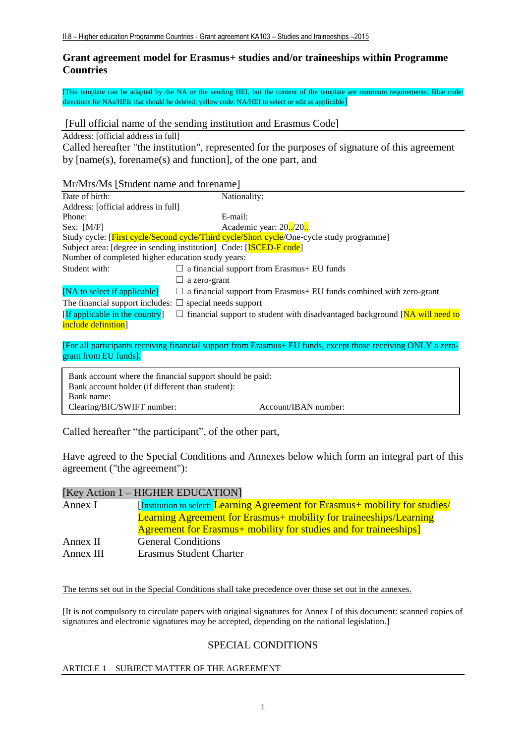## **Grant agreement model for Erasmus+ studies and/or traineeships within Programme Countries**

[This template can be adapted by the NA or the sending HEI, but the content of the template are minimum requirements. Blue code: directions for NAs/HEIs that should be deleted; yellow code: NA/HEI to select or edit as applicable]

[Full official name of the sending institution and Erasmus Code]

Address: [official address in full]

Called hereafter "the institution", represented for the purposes of signature of this agreement by [name(s), forename(s) and function], of the one part, and

## Mr/Mrs/Ms [Student name and forename]

| Date of birth:                                                                                                | Nationality:                                                                              |  |
|---------------------------------------------------------------------------------------------------------------|-------------------------------------------------------------------------------------------|--|
| Address: [official address in full]                                                                           |                                                                                           |  |
| Phone:                                                                                                        | E-mail:                                                                                   |  |
| Sex: $[M/F]$                                                                                                  | Academic year: 20./20.                                                                    |  |
|                                                                                                               | Study cycle: [First cycle/Second cycle/Third cycle/Short cycle/One-cycle study programme] |  |
|                                                                                                               | Subject area: [degree in sending institution] Code: [ISCED-F code]                        |  |
| Number of completed higher education study years:                                                             |                                                                                           |  |
| Student with:                                                                                                 | $\Box$ a financial support from Erasmus+ EU funds                                         |  |
|                                                                                                               | a zero-grant                                                                              |  |
| [NA to select if applicable]                                                                                  | $\Box$ a financial support from Erasmus+ EU funds combined with zero-grant                |  |
| The financial support includes: $\Box$ special needs support                                                  |                                                                                           |  |
| [If applicable in the country]                                                                                | $\Box$ financial support to student with disadvantaged background [NA will need to        |  |
| include definition]                                                                                           |                                                                                           |  |
|                                                                                                               |                                                                                           |  |
| [For all participants receiving financial support from Erasmus+ EU funds, except those receiving ONLY a zero- |                                                                                           |  |
| grant from EU funds].                                                                                         |                                                                                           |  |
|                                                                                                               |                                                                                           |  |

Bank account where the financial support should be paid: Bank account holder (if different than student): Bank name: Clearing/BIC/SWIFT number: Account/IBAN number:

Called hereafter "the participant", of the other part,

Have agreed to the Special Conditions and Annexes below which form an integral part of this agreement ("the agreement"):

|           | [Key Action 1 – HIGHER EDUCATION]                                             |
|-----------|-------------------------------------------------------------------------------|
| Annex I   | [Institution to select: Learning Agreement for Erasmus+ mobility for studies/ |
|           | <b>Learning Agreement for Erasmus+ mobility for traineeships/Learning</b>     |
|           | Agreement for Erasmus + mobility for studies and for traineeships]            |
| Annex II  | <b>General Conditions</b>                                                     |
| Annex III | Erasmus Student Charter                                                       |

The terms set out in the Special Conditions shall take precedence over those set out in the annexes.

[It is not compulsory to circulate papers with original signatures for Annex I of this document: scanned copies of signatures and electronic signatures may be accepted, depending on the national legislation.]

# SPECIAL CONDITIONS

## ARTICLE 1 – SUBJECT MATTER OF THE AGREEMENT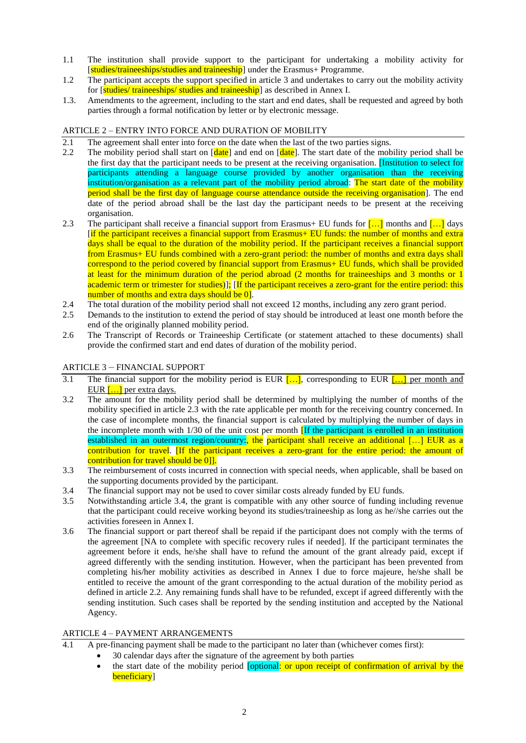- 1.1 The institution shall provide support to the participant for undertaking a mobility activity for [studies/traineeships/studies and traineeship] under the Erasmus+ Programme.
- 1.2 The participant accepts the support specified in article 3 and undertakes to carry out the mobility activity for [studies/traineeships/studies and traineeship] as described in Annex I.
- 1.3. Amendments to the agreement, including to the start and end dates, shall be requested and agreed by both parties through a formal notification by letter or by electronic message.

### ARTICLE 2 – ENTRY INTO FORCE AND DURATION OF MOBILITY

- 2.1 The agreement shall enter into force on the date when the last of the two parties signs.<br>2.2 The mobility period shall start on  $\lceil \frac{\text{date}}{\text{date}} \rceil$  and end on  $\lceil \frac{\text{date}}{\text{date}} \rceil$ . The start date of the mob
- The mobility period shall start on  $\left[\frac{\text{date}}{\text{date}}\right]$  and end on  $\left[\frac{\text{date}}{\text{date}}\right]$ . The start date of the mobility period shall be the first day that the participant needs to be present at the receiving organisation. [Institution to select for participants attending a language course provided by another organisation than the receiving institution/organisation as a relevant part of the mobility period abroad: The start date of the mobility period shall be the first day of language course attendance outside the receiving organisation]. The end date of the period abroad shall be the last day the participant needs to be present at the receiving organisation.
- 2.3 The participant shall receive a financial support from Erasmus+ EU funds for  $\left[\ldots\right]$  months and  $\left[\ldots\right]$  days [if the participant receives a financial support from Erasmus+ EU funds: the number of months and extra days shall be equal to the duration of the mobility period. If the participant receives a financial support from Erasmus+ EU funds combined with a zero-grant period: the number of months and extra days shall correspond to the period covered by financial support from Erasmus+ EU funds, which shall be provided at least for the minimum duration of the period abroad (2 months for traineeships and 3 months or 1 academic term or trimester for studies)]; [If the participant receives a zero-grant for the entire period: this number of months and extra days should be 0].
- 2.4 The total duration of the mobility period shall not exceed 12 months, including any zero grant period.<br>2.5 Demands to the institution to extend the period of stay should be introduced at least one month before
- 2.5 Demands to the institution to extend the period of stay should be introduced at least one month before the end of the originally planned mobility period.
- 2.6 The Transcript of Records or Traineeship Certificate (or statement attached to these documents) shall provide the confirmed start and end dates of duration of the mobility period.

### ARTICLE 3 – FINANCIAL SUPPORT

- 3.1 The financial support for the mobility period is EUR  $[\dots]$ , corresponding to EUR  $[\dots]$  per month and EUR  $\left[\ldots\right]$  per extra days.
- 3.2 The amount for the mobility period shall be determined by multiplying the number of months of the mobility specified in article 2.3 with the rate applicable per month for the receiving country concerned. In the case of incomplete months, the financial support is calculated by multiplying the number of days in the incomplete month with 1/30 of the unit cost per month **IIf the participant is enrolled in an institution** established in an outermost region/country:, the participant shall receive an additional [...] EUR as a contribution for travel. [If the participant receives a zero-grant for the entire period: the amount of contribution for travel should be 0].
- 3.3 The reimbursement of costs incurred in connection with special needs, when applicable, shall be based on the supporting documents provided by the participant.
- 3.4 The financial support may not be used to cover similar costs already funded by EU funds.
- 3.5 Notwithstanding article 3.4, the grant is compatible with any other source of funding including revenue that the participant could receive working beyond its studies/traineeship as long as he//she carries out the activities foreseen in Annex I.
- 3.6 The financial support or part thereof shall be repaid if the participant does not comply with the terms of the agreement [NA to complete with specific recovery rules if needed]. If the participant terminates the agreement before it ends, he/she shall have to refund the amount of the grant already paid, except if agreed differently with the sending institution. However, when the participant has been prevented from completing his/her mobility activities as described in Annex I due to force majeure, he/she shall be entitled to receive the amount of the grant corresponding to the actual duration of the mobility period as defined in article 2.2. Any remaining funds shall have to be refunded, except if agreed differently with the sending institution. Such cases shall be reported by the sending institution and accepted by the National Agency.

## ARTICLE 4 – PAYMENT ARRANGEMENTS

- 4.1 A pre-financing payment shall be made to the participant no later than (whichever comes first):
	- 30 calendar days after the signature of the agreement by both parties
	- the start date of the mobility period [optional: or upon receipt of confirmation of arrival by the beneficiary<sup>[1]</sup>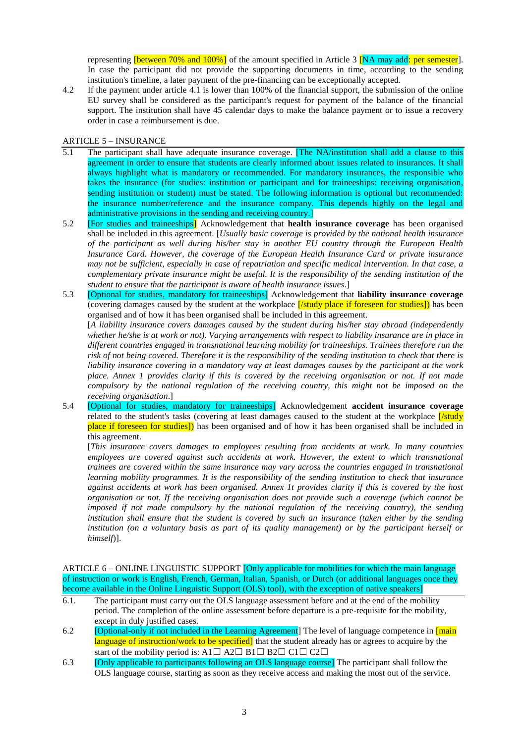representing **[between 70% and 100%]** of the amount specified in Article 3 **[NA may add: per semester**]. In case the participant did not provide the supporting documents in time, according to the sending institution's timeline, a later payment of the pre-financing can be exceptionally accepted.

4.2 If the payment under article 4.1 is lower than 100% of the financial support, the submission of the online EU survey shall be considered as the participant's request for payment of the balance of the financial support. The institution shall have 45 calendar days to make the balance payment or to issue a recovery order in case a reimbursement is due.

### ARTICLE 5 – INSURANCE

- 5.1 The participant shall have adequate insurance coverage. **The NA/institution shall add a clause to this** agreement in order to ensure that students are clearly informed about issues related to insurances. It shall always highlight what is mandatory or recommended. For mandatory insurances, the responsible who takes the insurance (for studies: institution or participant and for traineeships: receiving organisation, sending institution or student) must be stated. The following information is optional but recommended: the insurance number/reference and the insurance company. This depends highly on the legal and administrative provisions in the sending and receiving country.]
- 5.2 [For studies and traineeships] Acknowledgement that **health insurance coverage** has been organised shall be included in this agreement. [*Usually basic coverage is provided by the national health insurance of the participant as well during his/her stay in another EU country through the European Health Insurance Card. However, the coverage of the European Health Insurance Card or private insurance may not be sufficient, especially in case of repatriation and specific medical intervention. In that case, a complementary private insurance might be useful. It is the responsibility of the sending institution of the student to ensure that the participant is aware of health insurance issues*.]
- 5.3 [Optional for studies, mandatory for traineeships] Acknowledgement that **liability insurance coverage** (covering damages caused by the student at the workplace *[/study place if foreseen for studies]*) has been organised and of how it has been organised shall be included in this agreement.

[*A liability insurance covers damages caused by the student during his/her stay abroad (independently whether he/she is at work or not). Varying arrangements with respect to liability insurance are in place in different countries engaged in transnational learning mobility for traineeships. Trainees therefore run the risk of not being covered. Therefore it is the responsibility of the sending institution to check that there is liability insurance covering in a mandatory way at least damages causes by the participant at the work place. Annex 1 provides clarity if this is covered by the receiving organisation or not. If not made compulsory by the national regulation of the receiving country, this might not be imposed on the receiving organisation*.]

5.4 [Optional for studies, mandatory for traineeships] Acknowledgement **accident insurance coverage** related to the student's tasks (covering at least damages caused to the student at the workplace *[/study* place if foreseen for studies]) has been organised and of how it has been organised shall be included in this agreement.

[*This insurance covers damages to employees resulting from accidents at work. In many countries employees are covered against such accidents at work. However, the extent to which transnational trainees are covered within the same insurance may vary across the countries engaged in transnational learning mobility programmes. It is the responsibility of the sending institution to check that insurance against accidents at work has been organised. Annex 1t provides clarity if this is covered by the host organisation or not. If the receiving organisation does not provide such a coverage (which cannot be imposed if not made compulsory by the national regulation of the receiving country), the sending institution shall ensure that the student is covered by such an insurance (taken either by the sending institution (on a voluntary basis as part of its quality management) or by the participant herself or himself*)].

ARTICLE 6 – ONLINE LINGUISTIC SUPPORT [Only applicable for mobilities for which the main language of instruction or work is English, French, German, Italian, Spanish, or Dutch (or additional languages once they become available in the Online Linguistic Support (OLS) tool), with the exception of native speakers]

- 6.1. The participant must carry out the OLS language assessment before and at the end of the mobility period. The completion of the online assessment before departure is a pre-requisite for the mobility, except in duly justified cases.
- 6.2 [Optional-only if not included in the Learning Agreement] The level of language competence in [main] language of instruction/work to be specified] that the student already has or agrees to acquire by the start of the mobility period is: A1 $\Box$  A2 $\Box$  B1 $\Box$  B2 $\Box$  C1 $\Box$  C2 $\Box$
- 6.3 [Only applicable to participants following an OLS language course] The participant shall follow the OLS language course, starting as soon as they receive access and making the most out of the service.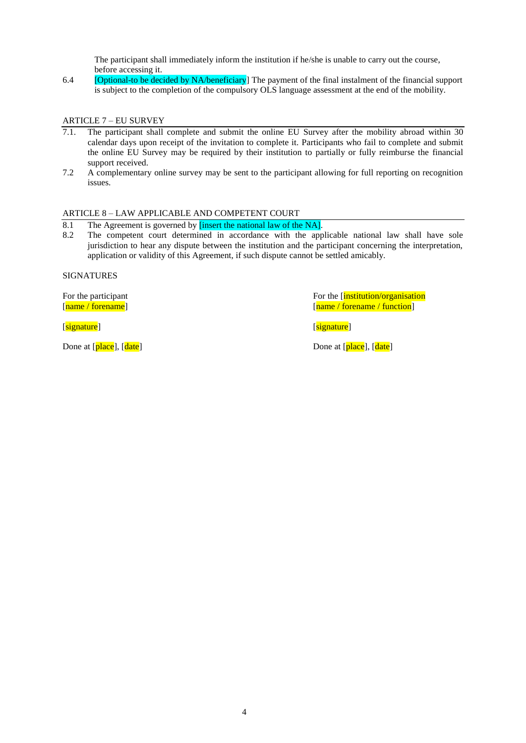The participant shall immediately inform the institution if he/she is unable to carry out the course, before accessing it.

6.4 [Optional-to be decided by NA/beneficiary] The payment of the final instalment of the financial support is subject to the completion of the compulsory OLS language assessment at the end of the mobility.

### ARTICLE 7 – EU SURVEY

- 7.1. The participant shall complete and submit the online EU Survey after the mobility abroad within 30 calendar days upon receipt of the invitation to complete it. Participants who fail to complete and submit the online EU Survey may be required by their institution to partially or fully reimburse the financial support received.
- 7.2 A complementary online survey may be sent to the participant allowing for full reporting on recognition issues.

## ARTICLE 8 – LAW APPLICABLE AND COMPETENT COURT

- 8.1 The Agreement is governed by **[insert the national law of the NA]**.
- 8.2 The competent court determined in accordance with the applicable national law shall have sole jurisdiction to hear any dispute between the institution and the participant concerning the interpretation, application or validity of this Agreement, if such dispute cannot be settled amicably.

SIGNATURES

**Example 2** is a set of the set of the set of the set of the set of the set of the set of the set of the set of the set of the set of the set of the set of the set of the set of the set of the set of the set of the set of

For the participant For the function For the contract of the function of  $\frac{1}{\text{name } }$  / forename  $\frac{1}{\text{name } }$  / forename  $\frac{1}{\text{name } }$  / forename  $\frac{1}{\text{name } }$  / forename  $\frac{1}{\text{name } }$  / function  $\frac{1}{\text{name } }$  / function [name / forename / function]

Done at [place], [date] Done at [place], [date]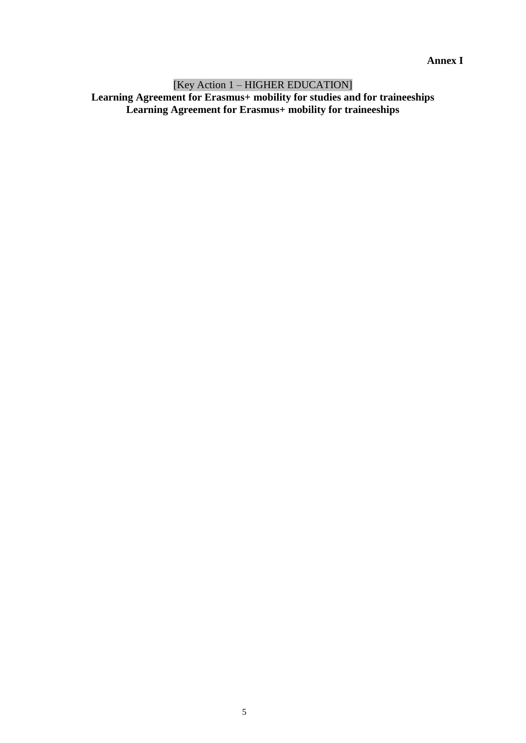**Annex I**

[Key Action 1 – HIGHER EDUCATION] **Learning Agreement for Erasmus+ mobility for studies and for traineeships Learning Agreement for Erasmus+ mobility for traineeships**